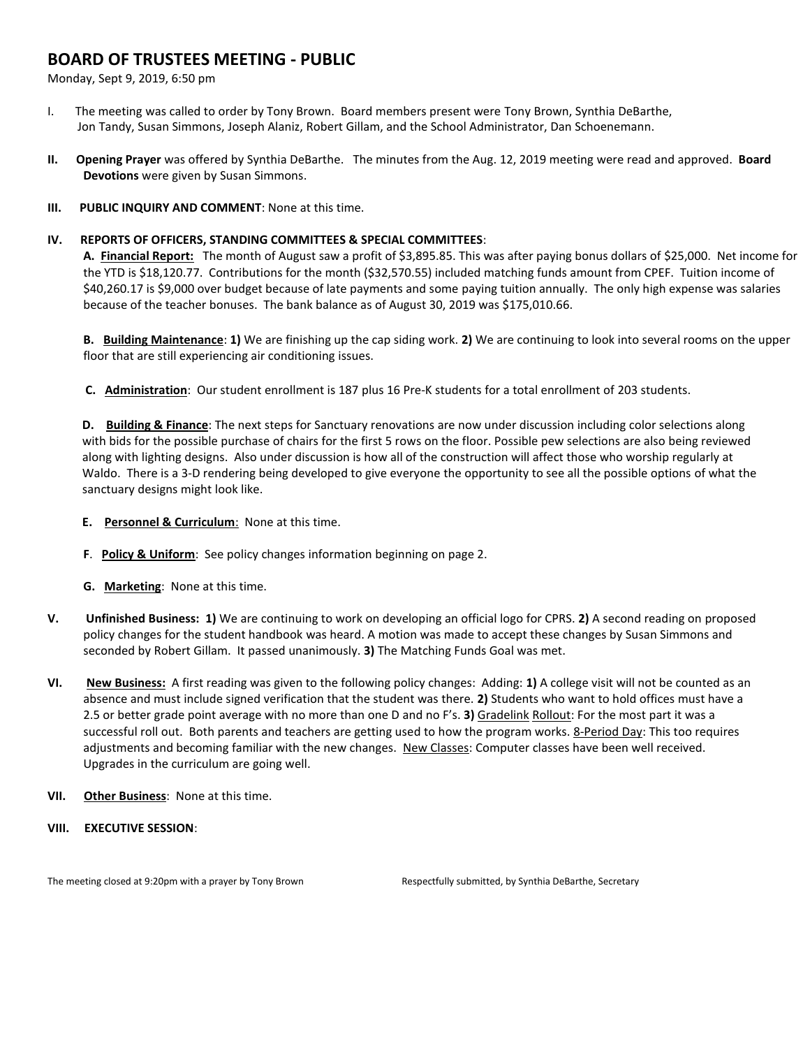## **BOARD OF TRUSTEES MEETING - PUBLIC**

Monday, Sept 9, 2019, 6:50 pm

- I. The meeting was called to order by Tony Brown. Board members present were Tony Brown, Synthia DeBarthe, Jon Tandy, Susan Simmons, Joseph Alaniz, Robert Gillam, and the School Administrator, Dan Schoenemann.
- **II. Opening Prayer** was offered by Synthia DeBarthe. The minutes from the Aug. 12, 2019 meeting were read and approved. **Board Devotions** were given by Susan Simmons.
- **III. PUBLIC INQUIRY AND COMMENT**: None at this time.

## **IV. REPORTS OF OFFICERS, STANDING COMMITTEES & SPECIAL COMMITTEES**:

**A. Financial Report:** The month of August saw a profit of \$3,895.85. This was after paying bonus dollars of \$25,000. Net income for the YTD is \$18,120.77. Contributions for the month (\$32,570.55) included matching funds amount from CPEF. Tuition income of \$40,260.17 is \$9,000 over budget because of late payments and some paying tuition annually. The only high expense was salaries because of the teacher bonuses. The bank balance as of August 30, 2019 was \$175,010.66.

**B. Building Maintenance**: **1)** We are finishing up the cap siding work. **2)** We are continuing to look into several rooms on the upper floor that are still experiencing air conditioning issues.

**C. Administration**: Our student enrollment is 187 plus 16 Pre-K students for a total enrollment of 203 students.

**D. Building & Finance**: The next steps for Sanctuary renovations are now under discussion including color selections along with bids for the possible purchase of chairs for the first 5 rows on the floor. Possible pew selections are also being reviewed along with lighting designs. Also under discussion is how all of the construction will affect those who worship regularly at Waldo. There is a 3-D rendering being developed to give everyone the opportunity to see all the possible options of what the sanctuary designs might look like.

- **E. Personnel & Curriculum**: None at this time.
- **F**. **Policy & Uniform**: See policy changes information beginning on page 2.
- **G. Marketing**: None at this time.
- **V. Unfinished Business: 1)** We are continuing to work on developing an official logo for CPRS. **2)** A second reading on proposed policy changes for the student handbook was heard. A motion was made to accept these changes by Susan Simmons and seconded by Robert Gillam. It passed unanimously. **3)** The Matching Funds Goal was met.
- **VI. New Business:** A first reading was given to the following policy changes: Adding: **1)** A college visit will not be counted as an absence and must include signed verification that the student was there. **2)** Students who want to hold offices must have a 2.5 or better grade point average with no more than one D and no F's. **3)** Gradelink Rollout: For the most part it was a successful roll out. Both parents and teachers are getting used to how the program works. 8-Period Day: This too requires adjustments and becoming familiar with the new changes. New Classes: Computer classes have been well received. Upgrades in the curriculum are going well.
- **VII. Other Business**: None at this time.
- **VIII. EXECUTIVE SESSION**:

The meeting closed at 9:20pm with a prayer by Tony Brown Respectfully submitted, by Synthia DeBarthe, Secretary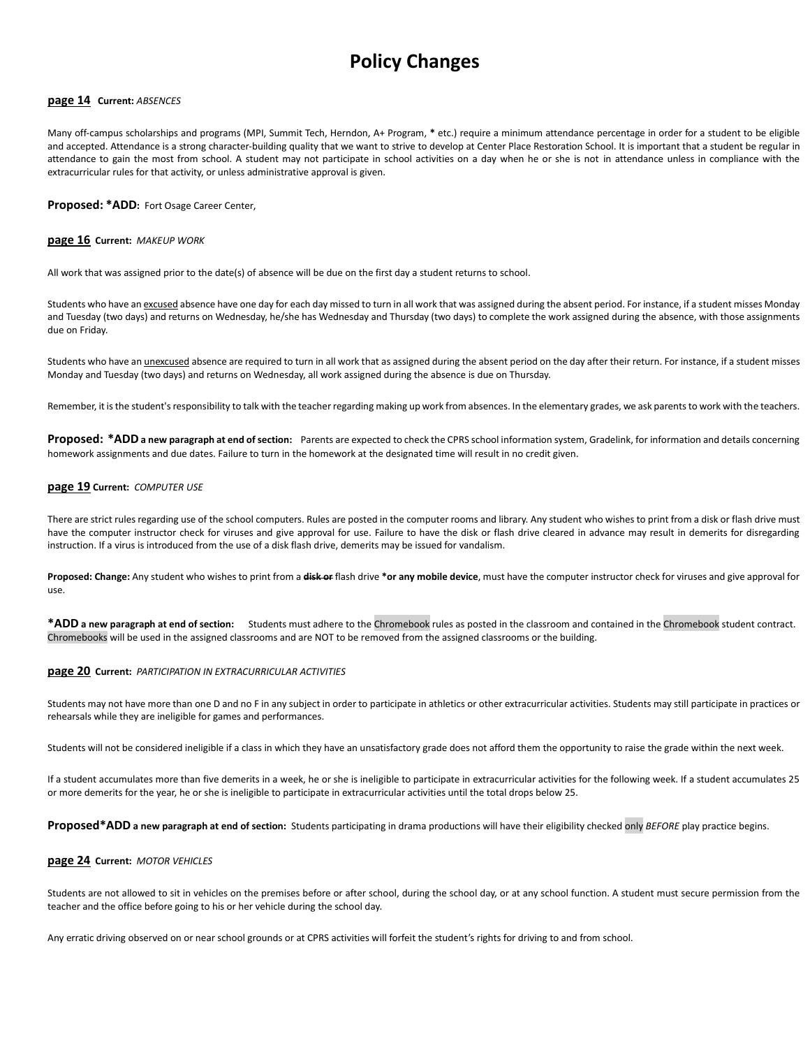# **Policy Changes**

#### **page 14 Current:** *ABSENCES*

Many off-campus scholarships and programs (MPI, Summit Tech, Herndon, A+ Program, **\*** etc.) require a minimum attendance percentage in order for a student to be eligible and accepted. Attendance is a strong character-building quality that we want to strive to develop at Center Place Restoration School. It is important that a student be regular in attendance to gain the most from school. A student may not participate in school activities on a day when he or she is not in attendance unless in compliance with the extracurricular rules for that activity, or unless administrative approval is given.

**Proposed: \*ADD:** Fort Osage Career Center,

#### **page 16 Current:** *MAKEUP WORK*

All work that was assigned prior to the date(s) of absence will be due on the first day a student returns to school.

Students who have an excused absence have one day for each day missed to turn in all work that was assigned during the absent period. For instance, if a student misses Monday and Tuesday (two days) and returns on Wednesday, he/she has Wednesday and Thursday (two days) to complete the work assigned during the absence, with those assignments due on Friday.

Students who have an *unexcused* absence are required to turn in all work that as assigned during the absent period on the day after their return. For instance, if a student misses Monday and Tuesday (two days) and returns on Wednesday, all work assigned during the absence is due on Thursday.

Remember, it is the student's responsibility to talk with the teacher regarding making up work from absences. In the elementary grades, we ask parents to work with the teachers.

**Proposed: \*ADDa new paragraph at end of section:** Parents are expected to check the CPRS school information system, Gradelink, for information and details concerning homework assignments and due dates. Failure to turn in the homework at the designated time will result in no credit given.

#### **page 19 Current:** *COMPUTER USE*

There are strict rules regarding use of the school computers. Rules are posted in the computer rooms and library. Any student who wishes to print from a disk or flash drive must have the computer instructor check for viruses and give approval for use. Failure to have the disk or flash drive cleared in advance may result in demerits for disregarding instruction. If a virus is introduced from the use of a disk flash drive, demerits may be issued for vandalism.

**Proposed: Change:** Any student who wishes to print from a **disk or** flash drive **\*or any mobile device**, must have the computer instructor check for viruses and give approval for use.

**\*ADD a new paragraph at end of section:** Students must adhere to the Chromebook rules as posted in the classroom and contained in the Chromebook student contract. Chromebooks will be used in the assigned classrooms and are NOT to be removed from the assigned classrooms or the building.

#### **page 20 Current:** *PARTICIPATION IN EXTRACURRICULAR ACTIVITIES*

Students may not have more than one D and no F in any subject in order to participate in athletics or other extracurricular activities. Students may still participate in practices or rehearsals while they are ineligible for games and performances.

Students will not be considered ineligible if a class in which they have an unsatisfactory grade does not afford them the opportunity to raise the grade within the next week.

If a student accumulates more than five demerits in a week, he or she is ineligible to participate in extracurricular activities for the following week. If a student accumulates 25 or more demerits for the year, he or she is ineligible to participate in extracurricular activities until the total drops below 25.

**Proposed\*ADD a new paragraph at end of section:** Students participating in drama productions will have their eligibility checked only *BEFORE* play practice begins.

## **page 24 Current:** *MOTOR VEHICLES*

Students are not allowed to sit in vehicles on the premises before or after school, during the school day, or at any school function. A student must secure permission from the teacher and the office before going to his or her vehicle during the school day.

Any erratic driving observed on or near school grounds or at CPRS activities will forfeit the student's rights for driving to and from school.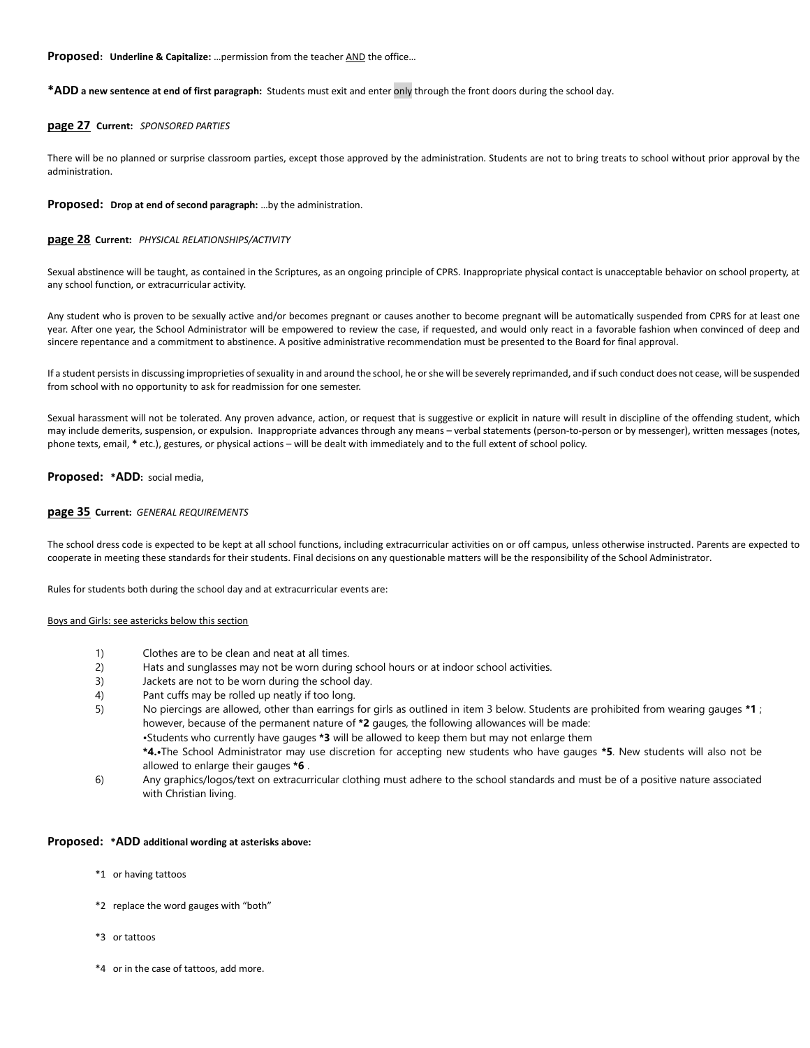## **Proposed: Underline & Capitalize:** ... permission from the teacher AND the office...

#### **\*ADD a new sentence at end of first paragraph:** Students must exit and enter only through the front doors during the school day.

#### **page 27 Current:** *SPONSORED PARTIES*

There will be no planned or surprise classroom parties, except those approved by the administration. Students are not to bring treats to school without prior approval by the administration.

#### **Proposed: Drop at end of second paragraph:** …by the administration.

#### **page 28 Current:** *PHYSICAL RELATIONSHIPS/ACTIVITY*

Sexual abstinence will be taught, as contained in the Scriptures, as an ongoing principle of CPRS. Inappropriate physical contact is unacceptable behavior on school property, at any school function, or extracurricular activity.

Any student who is proven to be sexually active and/or becomes pregnant or causes another to become pregnant will be automatically suspended from CPRS for at least one year. After one year, the School Administrator will be empowered to review the case, if requested, and would only react in a favorable fashion when convinced of deep and sincere repentance and a commitment to abstinence. A positive administrative recommendation must be presented to the Board for final approval.

If a student persists in discussing improprieties of sexuality in and around the school, he or she will be severely reprimanded, and if such conduct does not cease, will be suspended from school with no opportunity to ask for readmission for one semester.

Sexual harassment will not be tolerated. Any proven advance, action, or request that is suggestive or explicit in nature will result in discipline of the offending student, which may include demerits, suspension, or expulsion. Inappropriate advances through any means – verbal statements (person-to-person or by messenger), written messages (notes, phone texts, email, **\*** etc.), gestures, or physical actions – will be dealt with immediately and to the full extent of school policy.

#### **Proposed: \*ADD:** social media,

#### **page 35 Current:** *GENERAL REQUIREMENTS*

The school dress code is expected to be kept at all school functions, including extracurricular activities on or off campus, unless otherwise instructed. Parents are expected to cooperate in meeting these standards for their students. Final decisions on any questionable matters will be the responsibility of the School Administrator.

Rules for students both during the school day and at extracurricular events are:

#### Boys and Girls: see astericks below this section

- 1) Clothes are to be clean and neat at all times.
- 2) Hats and sunglasses may not be worn during school hours or at indoor school activities.
- 3) Jackets are not to be worn during the school day.
- 4) Pant cuffs may be rolled up neatly if too long.
- 5) No piercings are allowed, other than earrings for girls as outlined in item 3 below. Students are prohibited from wearing gauges **\*1** ; however, because of the permanent nature of **\*2** gauges, the following allowances will be made: •Students who currently have gauges **\*3** will be allowed to keep them but may not enlarge them **\*4.•**The School Administrator may use discretion for accepting new students who have gauges **\*5**. New students will also not be
- allowed to enlarge their gauges **\*6** . 6) Any graphics/logos/text on extracurricular clothing must adhere to the school standards and must be of a positive nature associated with Christian living.

#### **Proposed: \*ADD additional wording at asterisks above:**

- \*1 or having tattoos
- \*2 replace the word gauges with "both"
- \*3 or tattoos
- \*4 or in the case of tattoos, add more.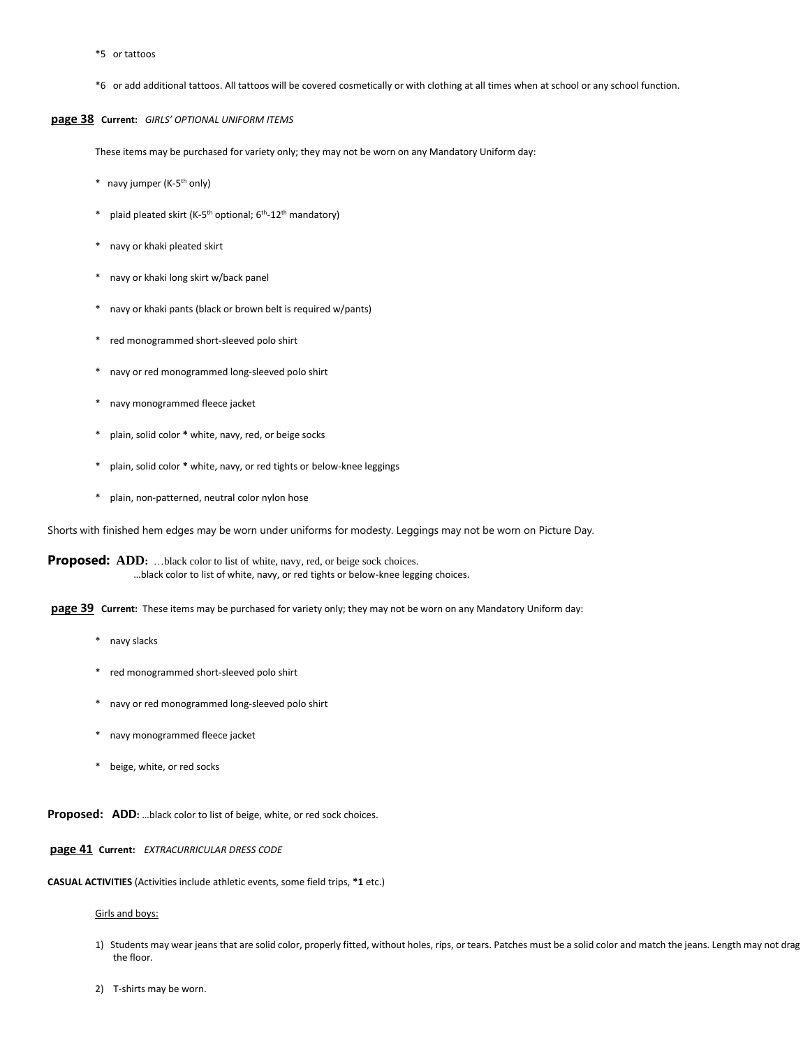- \*5 or tattoos
- \*6 or add additional tattoos. All tattoos will be covered cosmetically or with clothing at all times when at school or any school function.

## **page 38 Current:** *GIRLS' OPTIONAL UNIFORM ITEMS*

These items may be purchased for variety only; they may not be worn on any Mandatory Uniform day:

- \* navy jumper (K-5 th only)
- \* plaid pleated skirt (K-5<sup>th</sup> optional; 6<sup>th</sup>-12<sup>th</sup> mandatory)
- navy or khaki pleated skirt
- \* navy or khaki long skirt w/back panel
- \* navy or khaki pants (black or brown belt is required w/pants)
- red monogrammed short-sleeved polo shirt
- navy or red monogrammed long-sleeved polo shirt
- \* navy monogrammed fleece jacket
- plain, solid color \* white, navy, red, or beige socks
- plain, solid color \* white, navy, or red tights or below-knee leggings
- plain, non-patterned, neutral color nylon hose

Shorts with finished hem edges may be worn under uniforms for modesty. Leggings may not be worn on Picture Day.

**Proposed: ADD:** …black color to list of white, navy, red, or beige sock choices. …black color to list of white, navy, or red tights or below-knee legging choices.

**page 39** Current: These items may be purchased for variety only; they may not be worn on any Mandatory Uniform day:

- \* navy slacks
- \* red monogrammed short-sleeved polo shirt
- \* navy or red monogrammed long-sleeved polo shirt
- \* navy monogrammed fleece jacket
- \* beige, white, or red socks

**Proposed: ADD:** …black color to list of beige, white, or red sock choices.

**page 41 Current:** *EXTRACURRICULAR DRESS CODE*

**CASUAL ACTIVITIES** (Activities include athletic events, some field trips, **\*1** etc.)

#### Girls and boys:

- 1) Students may wear jeans that are solid color, properly fitted, without holes, rips, or tears. Patches must be a solid color and match the jeans. Length may not drag the floor.
- 2) T-shirts may be worn.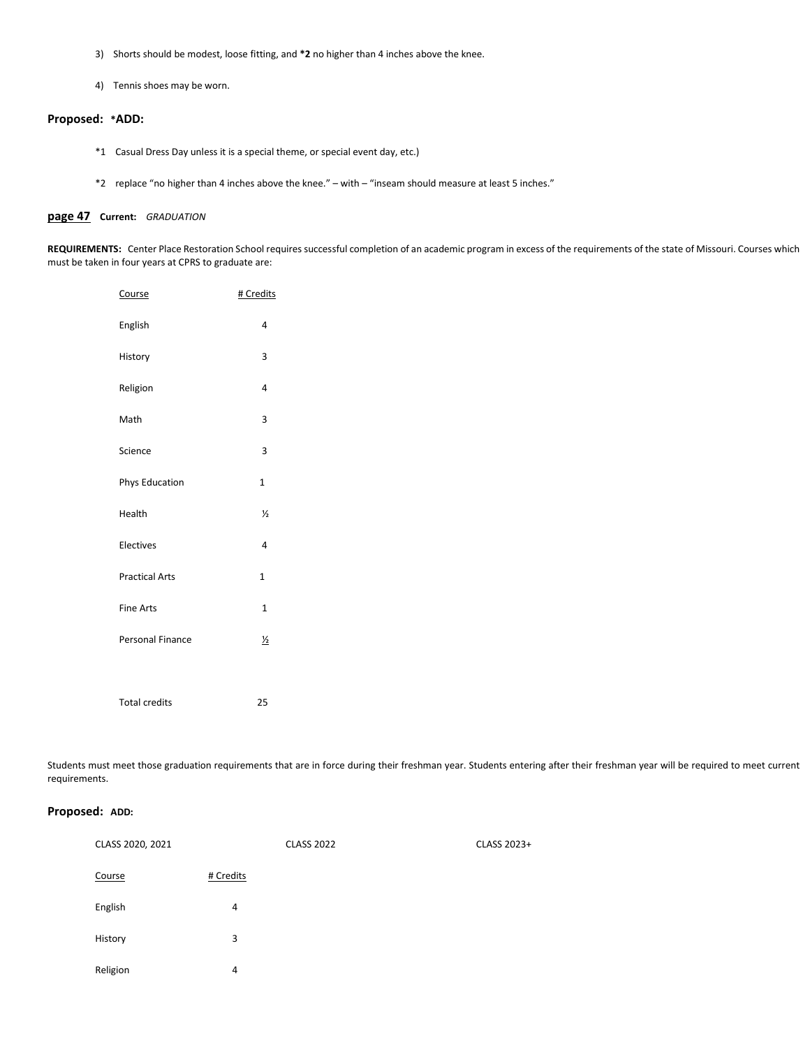- 3) Shorts should be modest, loose fitting, and **\*2** no higher than 4 inches above the knee.
- 4) Tennis shoes may be worn.

## **Proposed: \*ADD:**

- \*1 Casual Dress Day unless it is a special theme, or special event day, etc.)
- \*2 replace "no higher than 4 inches above the knee." with "inseam should measure at least 5 inches."

## **page 47 Current:** *GRADUATION*

**REQUIREMENTS:** Center Place Restoration School requires successful completion of an academic program in excess of the requirements of the state of Missouri. Courses which must be taken in four years at CPRS to graduate are:

| Course                  | # Credits      |
|-------------------------|----------------|
| English                 | 4              |
| History                 | 3              |
| Religion                | 4              |
| Math                    | 3              |
| Science                 | 3              |
| Phys Education          | $\mathbf{1}$   |
| Health                  | $\frac{1}{2}$  |
| Electives               | 4              |
| <b>Practical Arts</b>   | $\overline{1}$ |
| <b>Fine Arts</b>        | $\mathbf{1}$   |
| <b>Personal Finance</b> | $\frac{1}{2}$  |
|                         |                |
| <b>Total credits</b>    | 25             |

Students must meet those graduation requirements that are in force during their freshman year. Students entering after their freshman year will be required to meet current requirements.

## **Proposed: ADD:**

| CLASS 2020, 2021 |           | <b>CLASS 2022</b> | CLASS 2023+ |
|------------------|-----------|-------------------|-------------|
| Course           | # Credits |                   |             |
| English          | 4         |                   |             |
| History          | 3         |                   |             |
| Religion         | 4         |                   |             |